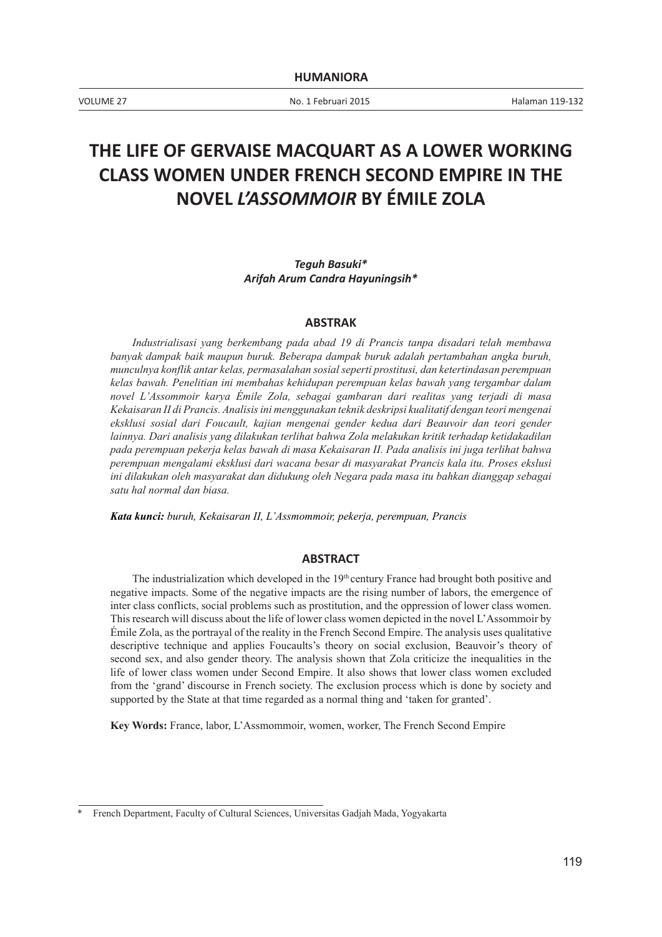VOLUME 27 No. 1 Februari 2015 Halaman 119-132

# **THE LIFE OF GERVAISE MACQUART AS A LOWER WORKING CLASS WOMEN UNDER FRENCH SECOND EMPIRE IN THE NOVEL** *L'ASSOMMOIR* **BY ÉMILE ZOLA**

#### *Teguh Basuki\* Arifah Arum Candra Hayuningsih\**

#### **ABSTRAK**

*Industrialisasi yang berkembang pada abad 19 di Prancis tanpa disadari telah membawa banyak dampak baik maupun buruk. Beberapa dampak buruk adalah pertambahan angka buruh, munculnya konflik antar kelas, permasalahan sosial seperti prostitusi, dan ketertindasan perempuan kelas bawah. Penelitian ini membahas kehidupan perempuan kelas bawah yang tergambar dalam novel L'Assommoir karya Émile Zola, sebagai gambaran dari realitas yang terjadi di masa Kekaisaran II di Prancis. Analisis ini menggunakan teknik deskripsi kualitatif dengan teori mengenai eksklusi sosial dari Foucault, kajian mengenai gender kedua dari Beauvoir dan teori gender lainnya. Dari analisis yang dilakukan terlihat bahwa Zola melakukan kritik terhadap ketidakadilan pada perempuan pekerja kelas bawah di masa Kekaisaran II. Pada analisis ini juga terlihat bahwa perempuan mengalami eksklusi dari wacana besar di masyarakat Prancis kala itu. Proses ekslusi ini dilakukan oleh masyarakat dan didukung oleh Negara pada masa itu bahkan dianggap sebagai satu hal normal dan biasa.*

*Kata kunci: buruh, Kekaisaran II, L'Assmommoir, pekerja, perempuan, Prancis*

#### **ABSTRACT**

The industrialization which developed in the  $19<sup>th</sup>$  century France had brought both positive and negative impacts. Some of the negative impacts are the rising number of labors, the emergence of inter class conflicts, social problems such as prostitution, and the oppression of lower class women. This research will discuss about the life of lower class women depicted in the novel L'Assommoir by Émile Zola, as the portrayal of the reality in the French Second Empire. The analysis uses qualitative descriptive technique and applies Foucaults's theory on social exclusion, Beauvoir's theory of second sex, and also gender theory. The analysis shown that Zola criticize the inequalities in the life of lower class women under Second Empire. It also shows that lower class women excluded from the 'grand' discourse in French society. The exclusion process which is done by society and supported by the State at that time regarded as a normal thing and 'taken for granted'.

**Key Words:** France, labor, L'Assmommoir, women, worker, The French Second Empire

<sup>\*</sup> French Department, Faculty of Cultural Sciences, Universitas Gadjah Mada, Yogyakarta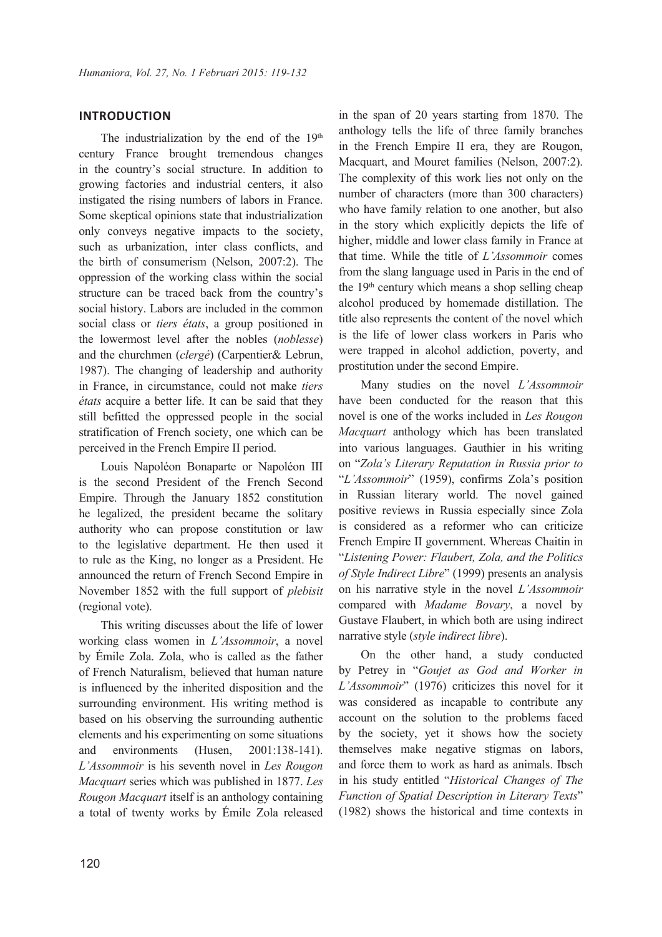## **INTRODUCTION**

The industrialization by the end of the  $19<sup>th</sup>$ century France brought tremendous changes in the country's social structure. In addition to growing factories and industrial centers, it also instigated the rising numbers of labors in France. Some skeptical opinions state that industrialization only conveys negative impacts to the society, such as urbanization, inter class conflicts, and the birth of consumerism (Nelson, 2007:2). The oppression of the working class within the social structure can be traced back from the country's social history. Labors are included in the common social class or *tiers états*, a group positioned in the lowermost level after the nobles (*noblesse*) and the churchmen (*clergé*) (Carpentier& Lebrun, 1987). The changing of leadership and authority in France, in circumstance, could not make *tiers états* acquire a better life. It can be said that they still befitted the oppressed people in the social stratification of French society, one which can be perceived in the French Empire II period.

Louis Napoléon Bonaparte or Napoléon III is the second President of the French Second Empire. Through the January 1852 constitution he legalized, the president became the solitary authority who can propose constitution or law to the legislative department. He then used it to rule as the King, no longer as a President. He announced the return of French Second Empire in November 1852 with the full support of *plebisit* (regional vote).

This writing discusses about the life of lower working class women in *L'Assommoir*, a novel by Émile Zola. Zola, who is called as the father of French Naturalism, believed that human nature is influenced by the inherited disposition and the surrounding environment. His writing method is based on his observing the surrounding authentic elements and his experimenting on some situations and environments (Husen, 2001:138-141). *L'Assommoir* is his seventh novel in *Les Rougon Macquart* series which was published in 1877. *Les Rougon Macquart* itself is an anthology containing a total of twenty works by Émile Zola released

in the span of 20 years starting from 1870. The anthology tells the life of three family branches in the French Empire II era, they are Rougon, Macquart, and Mouret families (Nelson, 2007:2). The complexity of this work lies not only on the number of characters (more than 300 characters) who have family relation to one another, but also in the story which explicitly depicts the life of higher, middle and lower class family in France at that time. While the title of *L'Assommoir* comes from the slang language used in Paris in the end of the  $19<sup>th</sup>$  century which means a shop selling cheap alcohol produced by homemade distillation. The title also represents the content of the novel which is the life of lower class workers in Paris who were trapped in alcohol addiction, poverty, and prostitution under the second Empire.

Many studies on the novel *L'Assommoir* have been conducted for the reason that this novel is one of the works included in *Les Rougon Macquart* anthology which has been translated into various languages. Gauthier in his writing on "*Zola's Literary Reputation in Russia prior to* "*L'Assommoir*" (1959), confirms Zola's position in Russian literary world. The novel gained positive reviews in Russia especially since Zola is considered as a reformer who can criticize French Empire II government. Whereas Chaitin in "*Listening Power: Flaubert, Zola, and the Politics of Style Indirect Libre*" (1999) presents an analysis on his narrative style in the novel *L'Assommoir* compared with *Madame Bovary*, a novel by Gustave Flaubert, in which both are using indirect narrative style (*style indirect libre*).

On the other hand, a study conducted by Petrey in "*Goujet as God and Worker in L'Assommoir*" (1976) criticizes this novel for it was considered as incapable to contribute any account on the solution to the problems faced by the society, yet it shows how the society themselves make negative stigmas on labors, and force them to work as hard as animals. Ibsch in his study entitled "*Historical Changes of The Function of Spatial Description in Literary Texts*" (1982) shows the historical and time contexts in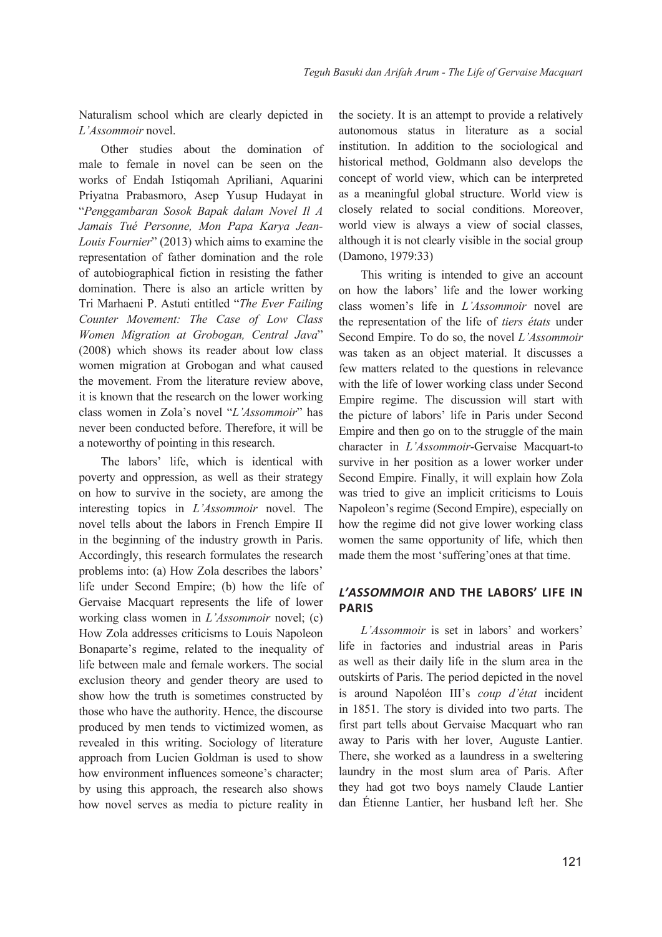Naturalism school which are clearly depicted in *L'Assommoir* novel.

Other studies about the domination of male to female in novel can be seen on the works of Endah Istiqomah Apriliani, Aquarini Priyatna Prabasmoro, Asep Yusup Hudayat in "*Penggambaran Sosok Bapak dalam Novel Il A Jamais Tué Personne, Mon Papa Karya Jean-Louis Fournier*" (2013) which aims to examine the representation of father domination and the role of autobiographical fiction in resisting the father domination. There is also an article written by Tri Marhaeni P. Astuti entitled "*The Ever Failing Counter Movement: The Case of Low Class Women Migration at Grobogan, Central Java*" (2008) which shows its reader about low class women migration at Grobogan and what caused the movement. From the literature review above, it is known that the research on the lower working class women in Zola's novel "*L'Assommoir*" has never been conducted before. Therefore, it will be a noteworthy of pointing in this research.

The labors' life, which is identical with poverty and oppression, as well as their strategy on how to survive in the society, are among the interesting topics in *L'Assommoir* novel. The novel tells about the labors in French Empire II in the beginning of the industry growth in Paris. Accordingly, this research formulates the research problems into: (a) How Zola describes the labors' life under Second Empire; (b) how the life of Gervaise Macquart represents the life of lower working class women in *L'Assommoir* novel; (c) How Zola addresses criticisms to Louis Napoleon Bonaparte's regime, related to the inequality of life between male and female workers. The social exclusion theory and gender theory are used to show how the truth is sometimes constructed by those who have the authority. Hence, the discourse produced by men tends to victimized women, as revealed in this writing. Sociology of literature approach from Lucien Goldman is used to show how environment influences someone's character; by using this approach, the research also shows how novel serves as media to picture reality in

the society. It is an attempt to provide a relatively autonomous status in literature as a social institution. In addition to the sociological and historical method, Goldmann also develops the concept of world view, which can be interpreted as a meaningful global structure. World view is closely related to social conditions. Moreover, world view is always a view of social classes, although it is not clearly visible in the social group (Damono, 1979:33)

This writing is intended to give an account on how the labors' life and the lower working class women's life in *L'Assommoir* novel are the representation of the life of *tiers états* under Second Empire. To do so, the novel *L'Assommoir* was taken as an object material. It discusses a few matters related to the questions in relevance with the life of lower working class under Second Empire regime. The discussion will start with the picture of labors' life in Paris under Second Empire and then go on to the struggle of the main character in *L'Assommoir*-Gervaise Macquart-to survive in her position as a lower worker under Second Empire. Finally, it will explain how Zola was tried to give an implicit criticisms to Louis Napoleon's regime (Second Empire), especially on how the regime did not give lower working class women the same opportunity of life, which then made them the most 'suffering'ones at that time.

# *L'ASSOMMOIR* **AND THE LABORS' LIFE IN PARIS**

*L'Assommoir* is set in labors' and workers' life in factories and industrial areas in Paris as well as their daily life in the slum area in the outskirts of Paris. The period depicted in the novel is around Napoléon III's *coup d'état* incident in 1851. The story is divided into two parts. The first part tells about Gervaise Macquart who ran away to Paris with her lover, Auguste Lantier. There, she worked as a laundress in a sweltering laundry in the most slum area of Paris. After they had got two boys namely Claude Lantier dan Étienne Lantier, her husband left her. She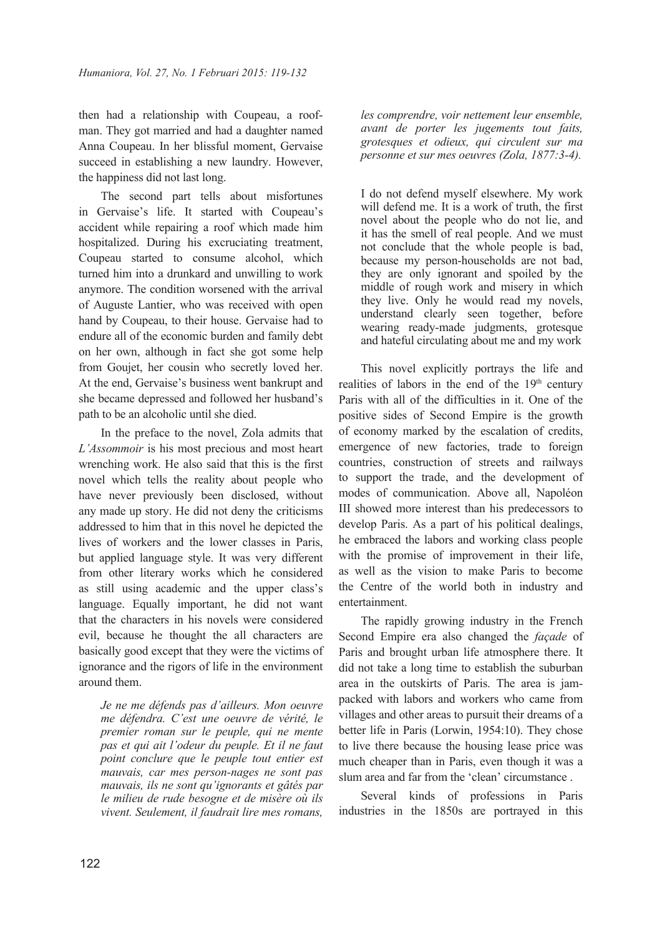then had a relationship with Coupeau, a roofman. They got married and had a daughter named Anna Coupeau. In her blissful moment, Gervaise succeed in establishing a new laundry. However, the happiness did not last long.

The second part tells about misfortunes in Gervaise's life. It started with Coupeau's accident while repairing a roof which made him hospitalized. During his excruciating treatment, Coupeau started to consume alcohol, which turned him into a drunkard and unwilling to work anymore. The condition worsened with the arrival of Auguste Lantier, who was received with open hand by Coupeau, to their house. Gervaise had to endure all of the economic burden and family debt on her own, although in fact she got some help from Goujet, her cousin who secretly loved her. At the end, Gervaise's business went bankrupt and she became depressed and followed her husband's path to be an alcoholic until she died.

In the preface to the novel, Zola admits that *L'Assommoir* is his most precious and most heart wrenching work. He also said that this is the first novel which tells the reality about people who have never previously been disclosed, without any made up story. He did not deny the criticisms addressed to him that in this novel he depicted the lives of workers and the lower classes in Paris, but applied language style. It was very different from other literary works which he considered as still using academic and the upper class's language. Equally important, he did not want that the characters in his novels were considered evil, because he thought the all characters are basically good except that they were the victims of ignorance and the rigors of life in the environment around them.

*Je ne me défends pas d'ailleurs. Mon oeuvre me défendra. C'est une oeuvre de vérité, le premier roman sur le peuple, qui ne mente pas et qui ait l'odeur du peuple. Et il ne faut point conclure que le peuple tout entier est mauvais, car mes person-nages ne sont pas mauvais, ils ne sont qu'ignorants et gâtés par le milieu de rude besogne et de misère où ils vivent. Seulement, il faudrait lire mes romans,* 

*les comprendre, voir nettement leur ensemble, avant de porter les jugements tout faits, grotesques et odieux, qui circulent sur ma personne et sur mes oeuvres (Zola, 1877:3-4).*

I do not defend myself elsewhere. My work will defend me. It is a work of truth, the first novel about the people who do not lie, and it has the smell of real people. And we must not conclude that the whole people is bad, because my person-households are not bad, they are only ignorant and spoiled by the middle of rough work and misery in which they live. Only he would read my novels, understand clearly seen together, before wearing ready-made judgments, grotesque and hateful circulating about me and my work

This novel explicitly portrays the life and realities of labors in the end of the 19<sup>th</sup> century Paris with all of the difficulties in it. One of the positive sides of Second Empire is the growth of economy marked by the escalation of credits, emergence of new factories, trade to foreign countries, construction of streets and railways to support the trade, and the development of modes of communication. Above all, Napoléon III showed more interest than his predecessors to develop Paris. As a part of his political dealings, he embraced the labors and working class people with the promise of improvement in their life, as well as the vision to make Paris to become the Centre of the world both in industry and entertainment.

The rapidly growing industry in the French Second Empire era also changed the *façade* of Paris and brought urban life atmosphere there. It did not take a long time to establish the suburban area in the outskirts of Paris. The area is jampacked with labors and workers who came from villages and other areas to pursuit their dreams of a better life in Paris (Lorwin, 1954:10). They chose to live there because the housing lease price was much cheaper than in Paris, even though it was a slum area and far from the 'clean' circumstance .

Several kinds of professions in Paris industries in the 1850s are portrayed in this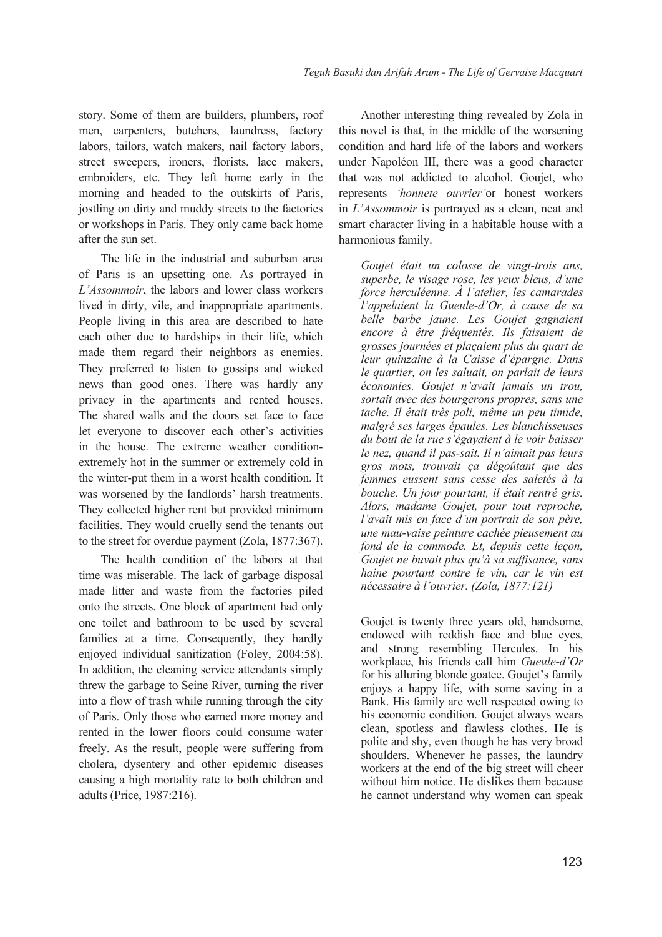story. Some of them are builders, plumbers, roof men, carpenters, butchers, laundress, factory labors, tailors, watch makers, nail factory labors, street sweepers, ironers, florists, lace makers, embroiders, etc. They left home early in the morning and headed to the outskirts of Paris, jostling on dirty and muddy streets to the factories or workshops in Paris. They only came back home after the sun set.

The life in the industrial and suburban area of Paris is an upsetting one. As portrayed in *L'Assommoir*, the labors and lower class workers lived in dirty, vile, and inappropriate apartments. People living in this area are described to hate each other due to hardships in their life, which made them regard their neighbors as enemies. They preferred to listen to gossips and wicked news than good ones. There was hardly any privacy in the apartments and rented houses. The shared walls and the doors set face to face let everyone to discover each other's activities in the house. The extreme weather conditionextremely hot in the summer or extremely cold in the winter-put them in a worst health condition. It was worsened by the landlords' harsh treatments. They collected higher rent but provided minimum facilities. They would cruelly send the tenants out to the street for overdue payment (Zola, 1877:367).

The health condition of the labors at that time was miserable. The lack of garbage disposal made litter and waste from the factories piled onto the streets. One block of apartment had only one toilet and bathroom to be used by several families at a time. Consequently, they hardly enjoyed individual sanitization (Foley, 2004:58). In addition, the cleaning service attendants simply threw the garbage to Seine River, turning the river into a flow of trash while running through the city of Paris. Only those who earned more money and rented in the lower floors could consume water freely. As the result, people were suffering from cholera, dysentery and other epidemic diseases causing a high mortality rate to both children and adults (Price, 1987:216).

Another interesting thing revealed by Zola in this novel is that, in the middle of the worsening condition and hard life of the labors and workers under Napoléon III, there was a good character that was not addicted to alcohol. Goujet, who represents *'honnete ouvrier'*or honest workers in *L'Assommoir* is portrayed as a clean, neat and smart character living in a habitable house with a harmonious family.

*Goujet était un colosse de vingt-trois ans, superbe, le visage rose, les yeux bleus, d'une force herculéenne. À l'atelier, les camarades l'appelaient la Gueule-d'Or, à cause de sa belle barbe jaune. Les Goujet gagnaient encore à être fréquentés. Ils faisaient de grosses journées et plaçaient plus du quart de leur quinzaine à la Caisse d'épargne. Dans le quartier, on les saluait, on parlait de leurs économies. Goujet n'avait jamais un trou, sortait avec des bourgerons propres, sans une tache. Il était très poli, même un peu timide, malgré ses larges épaules. Les blanchisseuses du bout de la rue s'égayaient à le voir baisser le nez, quand il pas-sait. Il n'aimait pas leurs gros mots, trouvait ça dégoûtant que des femmes eussent sans cesse des saletés à la bouche. Un jour pourtant, il était rentré gris. Alors, madame Goujet, pour tout reproche, l'avait mis en face d'un portrait de son père, une mau-vaise peinture cachée pieusement au fond de la commode. Et, depuis cette leçon, Goujet ne buvait plus qu'à sa suffisance, sans haine pourtant contre le vin, car le vin est nécessaire à l'ouvrier. (Zola, 1877:121)*

Goujet is twenty three years old, handsome, endowed with reddish face and blue eyes, and strong resembling Hercules. In his workplace, his friends call him *Gueule-d'Or* for his alluring blonde goatee. Goujet's family enjoys a happy life, with some saving in a Bank. His family are well respected owing to his economic condition. Goujet always wears clean, spotless and flawless clothes. He is polite and shy, even though he has very broad shoulders. Whenever he passes, the laundry workers at the end of the big street will cheer without him notice. He dislikes them because he cannot understand why women can speak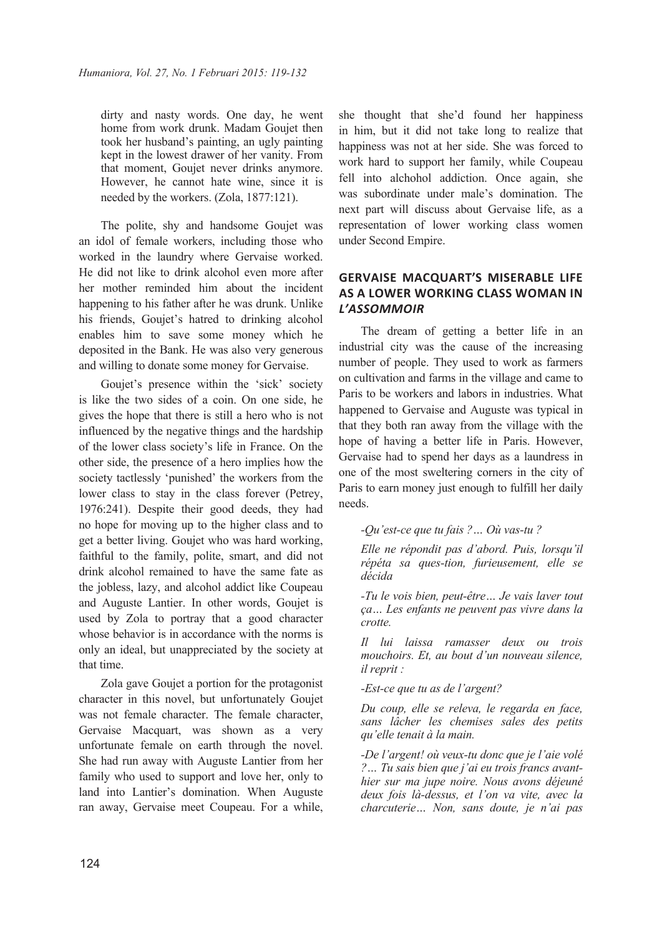dirty and nasty words. One day, he went home from work drunk. Madam Goujet then took her husband's painting, an ugly painting kept in the lowest drawer of her vanity. From that moment, Goujet never drinks anymore. However, he cannot hate wine, since it is needed by the workers. (Zola, 1877:121).

The polite, shy and handsome Goujet was an idol of female workers, including those who worked in the laundry where Gervaise worked. He did not like to drink alcohol even more after her mother reminded him about the incident happening to his father after he was drunk. Unlike his friends, Goujet's hatred to drinking alcohol enables him to save some money which he deposited in the Bank. He was also very generous and willing to donate some money for Gervaise.

Goujet's presence within the 'sick' society is like the two sides of a coin. On one side, he gives the hope that there is still a hero who is not influenced by the negative things and the hardship of the lower class society's life in France. On the other side, the presence of a hero implies how the society tactlessly 'punished' the workers from the lower class to stay in the class forever (Petrey, 1976:241). Despite their good deeds, they had no hope for moving up to the higher class and to get a better living. Goujet who was hard working, faithful to the family, polite, smart, and did not drink alcohol remained to have the same fate as the jobless, lazy, and alcohol addict like Coupeau and Auguste Lantier. In other words, Goujet is used by Zola to portray that a good character whose behavior is in accordance with the norms is only an ideal, but unappreciated by the society at that time.

Zola gave Goujet a portion for the protagonist character in this novel, but unfortunately Goujet was not female character. The female character, Gervaise Macquart, was shown as a very unfortunate female on earth through the novel. She had run away with Auguste Lantier from her family who used to support and love her, only to land into Lantier's domination. When Auguste ran away, Gervaise meet Coupeau. For a while,

she thought that she'd found her happiness in him, but it did not take long to realize that happiness was not at her side. She was forced to work hard to support her family, while Coupeau fell into alchohol addiction. Once again, she was subordinate under male's domination. The next part will discuss about Gervaise life, as a representation of lower working class women under Second Empire.

# **GERVAISE MACQUART'S MISERABLE LIFE AS A LOWER WORKING CLASS WOMAN IN**  *L'ASSOMMOIR*

The dream of getting a better life in an industrial city was the cause of the increasing number of people. They used to work as farmers on cultivation and farms in the village and came to Paris to be workers and labors in industries. What happened to Gervaise and Auguste was typical in that they both ran away from the village with the hope of having a better life in Paris. However, Gervaise had to spend her days as a laundress in one of the most sweltering corners in the city of Paris to earn money just enough to fulfill her daily needs.

#### *-Qu'est-ce que tu fais ?… Où vas-tu ?*

*Elle ne répondit pas d'abord. Puis, lorsqu'il répéta sa ques-tion, furieusement, elle se décida*

*-Tu le vois bien, peut-être… Je vais laver tout ça… Les enfants ne peuvent pas vivre dans la crotte.*

*Il lui laissa ramasser deux ou trois mouchoirs. Et, au bout d'un nouveau silence, il reprit :*

*-Est-ce que tu as de l'argent?*

*Du coup, elle se releva, le regarda en face, sans lâcher les chemises sales des petits qu'elle tenait à la main.*

*-De l'argent! où veux-tu donc que je l'aie volé ?… Tu sais bien que j'ai eu trois francs avanthier sur ma jupe noire. Nous avons déjeuné deux fois là-dessus, et l'on va vite, avec la charcuterie… Non, sans doute, je n'ai pas*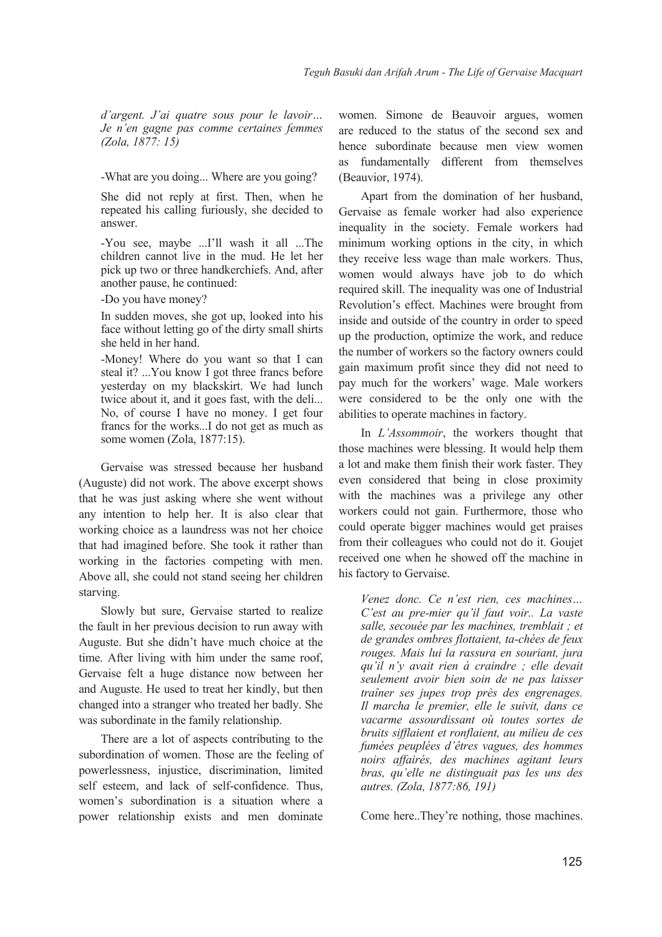*d'argent. J'ai quatre sous pour le lavoir… Je n'en gagne pas comme certaines femmes (Zola, 1877: 15)*

-What are you doing... Where are you going?

She did not reply at first. Then, when he repeated his calling furiously, she decided to answer.

-You see, maybe ...I'll wash it all ...The children cannot live in the mud. He let her pick up two or three handkerchiefs. And, after another pause, he continued:

-Do you have money?

In sudden moves, she got up, looked into his face without letting go of the dirty small shirts she held in her hand.

-Money! Where do you want so that I can steal it? ...You know I got three francs before yesterday on my blackskirt. We had lunch twice about it, and it goes fast, with the deli... No, of course I have no money. I get four francs for the works...I do not get as much as some women (Zola, 1877:15).

Gervaise was stressed because her husband (Auguste) did not work. The above excerpt shows that he was just asking where she went without any intention to help her. It is also clear that working choice as a laundress was not her choice that had imagined before. She took it rather than working in the factories competing with men. Above all, she could not stand seeing her children starving.

Slowly but sure, Gervaise started to realize the fault in her previous decision to run away with Auguste. But she didn't have much choice at the time. After living with him under the same roof, Gervaise felt a huge distance now between her and Auguste. He used to treat her kindly, but then changed into a stranger who treated her badly. She was subordinate in the family relationship.

There are a lot of aspects contributing to the subordination of women. Those are the feeling of powerlessness, injustice, discrimination, limited self esteem, and lack of self-confidence. Thus, women's subordination is a situation where a power relationship exists and men dominate

women. Simone de Beauvoir argues, women are reduced to the status of the second sex and hence subordinate because men view women as fundamentally different from themselves (Beauvior, 1974).

Apart from the domination of her husband, Gervaise as female worker had also experience inequality in the society. Female workers had minimum working options in the city, in which they receive less wage than male workers. Thus, women would always have job to do which required skill. The inequality was one of Industrial Revolution's effect. Machines were brought from inside and outside of the country in order to speed up the production, optimize the work, and reduce the number of workers so the factory owners could gain maximum profit since they did not need to pay much for the workers' wage. Male workers were considered to be the only one with the abilities to operate machines in factory.

In *L'Assommoir*, the workers thought that those machines were blessing. It would help them a lot and make them finish their work faster. They even considered that being in close proximity with the machines was a privilege any other workers could not gain. Furthermore, those who could operate bigger machines would get praises from their colleagues who could not do it. Goujet received one when he showed off the machine in his factory to Gervaise.

*Venez donc. Ce n'est rien, ces machines… C'est au pre-mier qu'il faut voir.. La vaste salle, secouée par les machines, tremblait ; et de grandes ombres flottaient, ta-chées de feux rouges. Mais lui la rassura en souriant, jura qu'il n'y avait rien à craindre ; elle devait seulement avoir bien soin de ne pas laisser traîner ses jupes trop près des engrenages. Il marcha le premier, elle le suivit, dans ce vacarme assourdissant où toutes sortes de bruits sifflaient et ronflaient, au milieu de ces fumées peuplées d'êtres vagues, des hommes noirs affairés, des machines agitant leurs bras, qu'elle ne distinguait pas les uns des autres. (Zola, 1877:86, 191)*

Come here..They're nothing, those machines.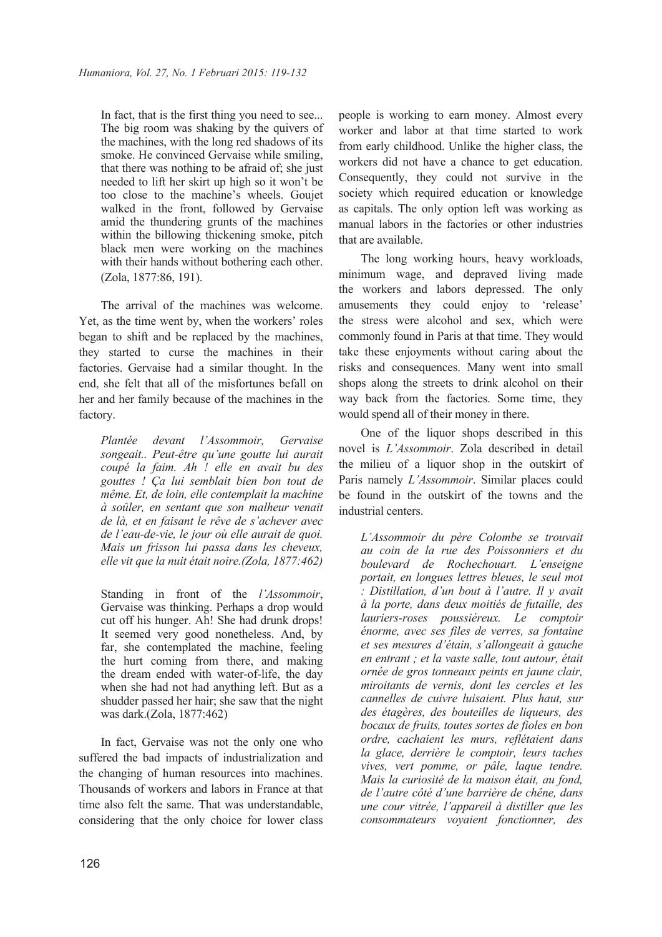In fact, that is the first thing you need to see... The big room was shaking by the quivers of the machines, with the long red shadows of its smoke. He convinced Gervaise while smiling, that there was nothing to be afraid of; she just needed to lift her skirt up high so it won't be too close to the machine's wheels. Goujet walked in the front, followed by Gervaise amid the thundering grunts of the machines within the billowing thickening smoke, pitch black men were working on the machines with their hands without bothering each other. (Zola, 1877:86, 191).

The arrival of the machines was welcome. Yet, as the time went by, when the workers' roles began to shift and be replaced by the machines, they started to curse the machines in their factories. Gervaise had a similar thought. In the end, she felt that all of the misfortunes befall on her and her family because of the machines in the factory.

*Plantée devant l'Assommoir, Gervaise songeait.. Peut-être qu'une goutte lui aurait coupé la faim. Ah ! elle en avait bu des gouttes ! Ça lui semblait bien bon tout de même. Et, de loin, elle contemplait la machine à soûler, en sentant que son malheur venait de là, et en faisant le rêve de s'achever avec de l'eau-de-vie, le jour où elle aurait de quoi. Mais un frisson lui passa dans les cheveux, elle vit que la nuit était noire.(Zola, 1877:462)*

Standing in front of the *l'Assommoir*, Gervaise was thinking. Perhaps a drop would cut off his hunger. Ah! She had drunk drops! It seemed very good nonetheless. And, by far, she contemplated the machine, feeling the hurt coming from there, and making the dream ended with water-of-life, the day when she had not had anything left. But as a shudder passed her hair; she saw that the night was dark.(Zola, 1877:462)

In fact, Gervaise was not the only one who suffered the bad impacts of industrialization and the changing of human resources into machines. Thousands of workers and labors in France at that time also felt the same. That was understandable, considering that the only choice for lower class

people is working to earn money. Almost every worker and labor at that time started to work from early childhood. Unlike the higher class, the workers did not have a chance to get education. Consequently, they could not survive in the society which required education or knowledge as capitals. The only option left was working as manual labors in the factories or other industries that are available.

The long working hours, heavy workloads, minimum wage, and depraved living made the workers and labors depressed. The only amusements they could enjoy to 'release' the stress were alcohol and sex, which were commonly found in Paris at that time. They would take these enjoyments without caring about the risks and consequences. Many went into small shops along the streets to drink alcohol on their way back from the factories. Some time, they would spend all of their money in there.

One of the liquor shops described in this novel is *L'Assommoir*. Zola described in detail the milieu of a liquor shop in the outskirt of Paris namely *L'Assommoir*. Similar places could be found in the outskirt of the towns and the industrial centers.

*L'Assommoir du père Colombe se trouvait au coin de la rue des Poissonniers et du boulevard de Rochechouart. L'enseigne portait, en longues lettres bleues, le seul mot : Distillation, d'un bout à l'autre. Il y avait à la porte, dans deux moitiés de futaille, des lauriers-roses poussiéreux. Le comptoir énorme, avec ses files de verres, sa fontaine et ses mesures d'étain, s'allongeait à gauche en entrant ; et la vaste salle, tout autour, était ornée de gros tonneaux peints en jaune clair, miroitants de vernis, dont les cercles et les cannelles de cuivre luisaient. Plus haut, sur des étagères, des bouteilles de liqueurs, des bocaux de fruits, toutes sortes de fioles en bon ordre, cachaient les murs, reflétaient dans la glace, derrière le comptoir, leurs taches vives, vert pomme, or pâle, laque tendre. Mais la curiosité de la maison était, au fond, de l'autre côté d'une barrière de chêne, dans une cour vitrée, l'appareil à distiller que les consommateurs voyaient fonctionner, des*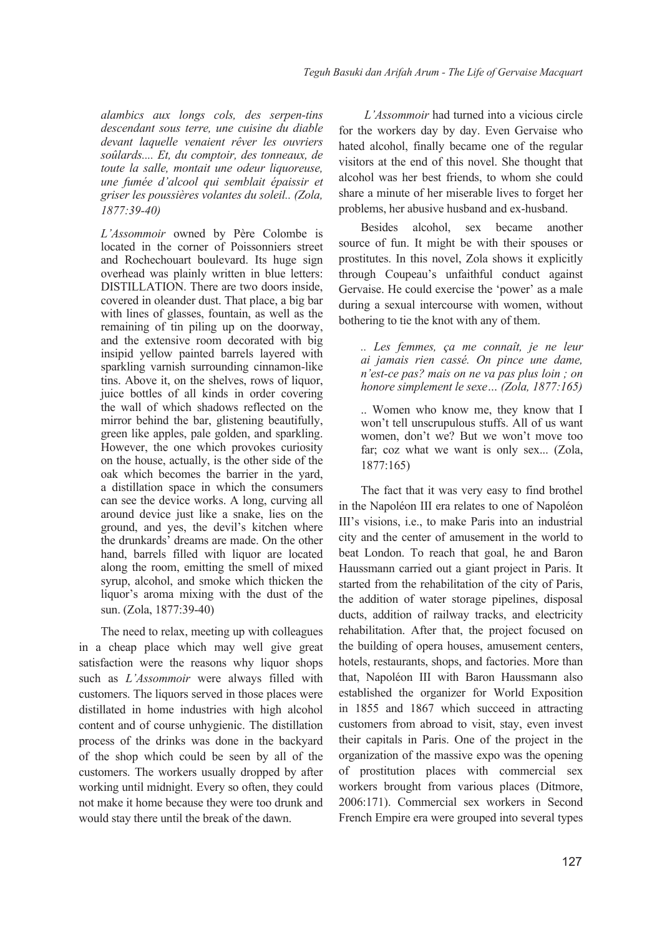*alambics aux longs cols, des serpen-tins descendant sous terre, une cuisine du diable devant laquelle venaient rêver les ouvriers soûlards.... Et, du comptoir, des tonneaux, de toute la salle, montait une odeur liquoreuse, une fumée d'alcool qui semblait épaissir et griser les poussières volantes du soleil.. (Zola, 1877:39-40)*

*L'Assommoir* owned by Père Colombe is located in the corner of Poissonniers street and Rochechouart boulevard. Its huge sign overhead was plainly written in blue letters: DISTILLATION. There are two doors inside, covered in oleander dust. That place, a big bar with lines of glasses, fountain, as well as the remaining of tin piling up on the doorway, and the extensive room decorated with big insipid yellow painted barrels layered with sparkling varnish surrounding cinnamon-like tins. Above it, on the shelves, rows of liquor, juice bottles of all kinds in order covering the wall of which shadows reflected on the mirror behind the bar, glistening beautifully, green like apples, pale golden, and sparkling. However, the one which provokes curiosity on the house, actually, is the other side of the oak which becomes the barrier in the yard, a distillation space in which the consumers can see the device works. A long, curving all around device just like a snake, lies on the ground, and yes, the devil's kitchen where the drunkards' dreams are made. On the other hand, barrels filled with liquor are located along the room, emitting the smell of mixed syrup, alcohol, and smoke which thicken the liquor's aroma mixing with the dust of the sun. (Zola, 1877:39-40)

The need to relax, meeting up with colleagues in a cheap place which may well give great satisfaction were the reasons why liquor shops such as *L'Assommoir* were always filled with customers. The liquors served in those places were distillated in home industries with high alcohol content and of course unhygienic. The distillation process of the drinks was done in the backyard of the shop which could be seen by all of the customers. The workers usually dropped by after working until midnight. Every so often, they could not make it home because they were too drunk and would stay there until the break of the dawn.

*L'Assommoir* had turned into a vicious circle for the workers day by day. Even Gervaise who hated alcohol, finally became one of the regular visitors at the end of this novel. She thought that alcohol was her best friends, to whom she could share a minute of her miserable lives to forget her problems, her abusive husband and ex-husband.

Besides alcohol, sex became another source of fun. It might be with their spouses or prostitutes. In this novel, Zola shows it explicitly through Coupeau's unfaithful conduct against Gervaise. He could exercise the 'power' as a male during a sexual intercourse with women, without bothering to tie the knot with any of them.

*.. Les femmes, ça me connaît, je ne leur ai jamais rien cassé. On pince une dame, n'est-ce pas? mais on ne va pas plus loin ; on honore simplement le sexe… (Zola, 1877:165)*

.. Women who know me, they know that I won't tell unscrupulous stuffs. All of us want women, don't we? But we won't move too far; coz what we want is only sex... (Zola, 1877:165)

The fact that it was very easy to find brothel in the Napoléon III era relates to one of Napoléon III's visions, i.e., to make Paris into an industrial city and the center of amusement in the world to beat London. To reach that goal, he and Baron Haussmann carried out a giant project in Paris. It started from the rehabilitation of the city of Paris, the addition of water storage pipelines, disposal ducts, addition of railway tracks, and electricity rehabilitation. After that, the project focused on the building of opera houses, amusement centers, hotels, restaurants, shops, and factories. More than that, Napoléon III with Baron Haussmann also established the organizer for World Exposition in 1855 and 1867 which succeed in attracting customers from abroad to visit, stay, even invest their capitals in Paris. One of the project in the organization of the massive expo was the opening of prostitution places with commercial sex workers brought from various places (Ditmore, 2006:171). Commercial sex workers in Second French Empire era were grouped into several types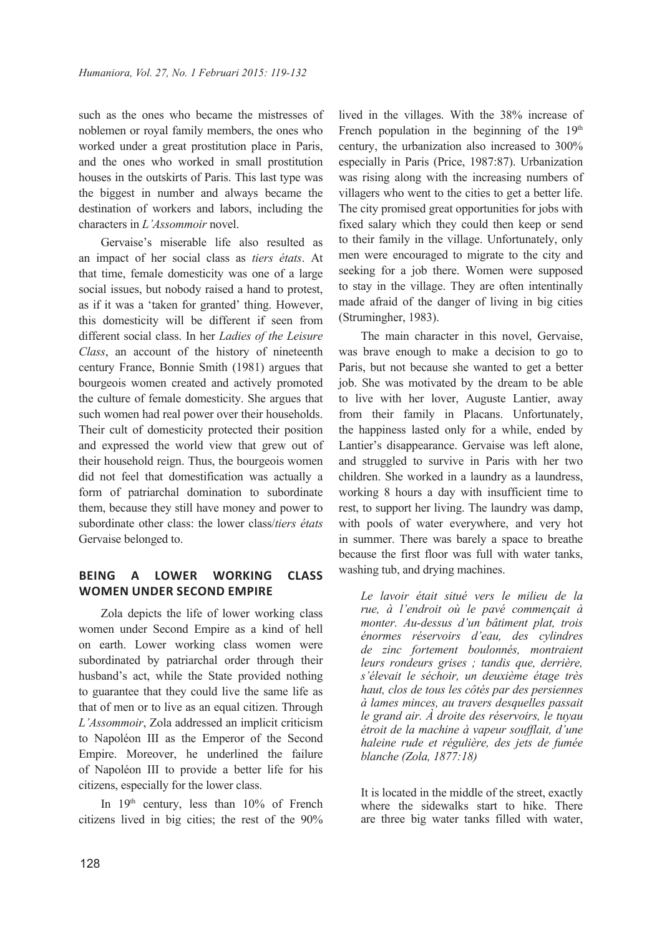such as the ones who became the mistresses of noblemen or royal family members, the ones who worked under a great prostitution place in Paris, and the ones who worked in small prostitution houses in the outskirts of Paris. This last type was the biggest in number and always became the destination of workers and labors, including the characters in *L'Assommoir* novel.

Gervaise's miserable life also resulted as an impact of her social class as *tiers états*. At that time, female domesticity was one of a large social issues, but nobody raised a hand to protest, as if it was a 'taken for granted' thing. However, this domesticity will be different if seen from different social class. In her *Ladies of the Leisure Class*, an account of the history of nineteenth century France, Bonnie Smith (1981) argues that bourgeois women created and actively promoted the culture of female domesticity. She argues that such women had real power over their households. Their cult of domesticity protected their position and expressed the world view that grew out of their household reign. Thus, the bourgeois women did not feel that domestification was actually a form of patriarchal domination to subordinate them, because they still have money and power to subordinate other class: the lower class/*tiers états* Gervaise belonged to.

# **BEING A LOWER WORKING CLASS WOMEN UNDER SECOND EMPIRE**

Zola depicts the life of lower working class women under Second Empire as a kind of hell on earth. Lower working class women were subordinated by patriarchal order through their husband's act, while the State provided nothing to guarantee that they could live the same life as that of men or to live as an equal citizen. Through *L'Assommoir*, Zola addressed an implicit criticism to Napoléon III as the Emperor of the Second Empire. Moreover, he underlined the failure of Napoléon III to provide a better life for his citizens, especially for the lower class.

In 19<sup>th</sup> century, less than 10% of French citizens lived in big cities; the rest of the 90%

lived in the villages. With the 38% increase of French population in the beginning of the  $19<sup>th</sup>$ century, the urbanization also increased to 300% especially in Paris (Price, 1987:87). Urbanization was rising along with the increasing numbers of villagers who went to the cities to get a better life. The city promised great opportunities for jobs with fixed salary which they could then keep or send to their family in the village. Unfortunately, only men were encouraged to migrate to the city and seeking for a job there. Women were supposed to stay in the village. They are often intentinally made afraid of the danger of living in big cities (Strumingher, 1983).

The main character in this novel, Gervaise, was brave enough to make a decision to go to Paris, but not because she wanted to get a better job. She was motivated by the dream to be able to live with her lover, Auguste Lantier, away from their family in Placans. Unfortunately, the happiness lasted only for a while, ended by Lantier's disappearance. Gervaise was left alone, and struggled to survive in Paris with her two children. She worked in a laundry as a laundress, working 8 hours a day with insufficient time to rest, to support her living. The laundry was damp, with pools of water everywhere, and very hot in summer. There was barely a space to breathe because the first floor was full with water tanks, washing tub, and drying machines.

*Le lavoir était situé vers le milieu de la rue, à l'endroit où le pavé commençait à monter. Au-dessus d'un bâtiment plat, trois énormes réservoirs d'eau, des cylindres de zinc fortement boulonnés, montraient leurs rondeurs grises ; tandis que, derrière, s'élevait le séchoir, un deuxième étage très haut, clos de tous les côtés par des persiennes à lames minces, au travers desquelles passait le grand air. À droite des réservoirs, le tuyau étroit de la machine à vapeur soufflait, d'une haleine rude et régulière, des jets de fumée blanche (Zola, 1877:18)*

It is located in the middle of the street, exactly where the sidewalks start to hike. There are three big water tanks filled with water,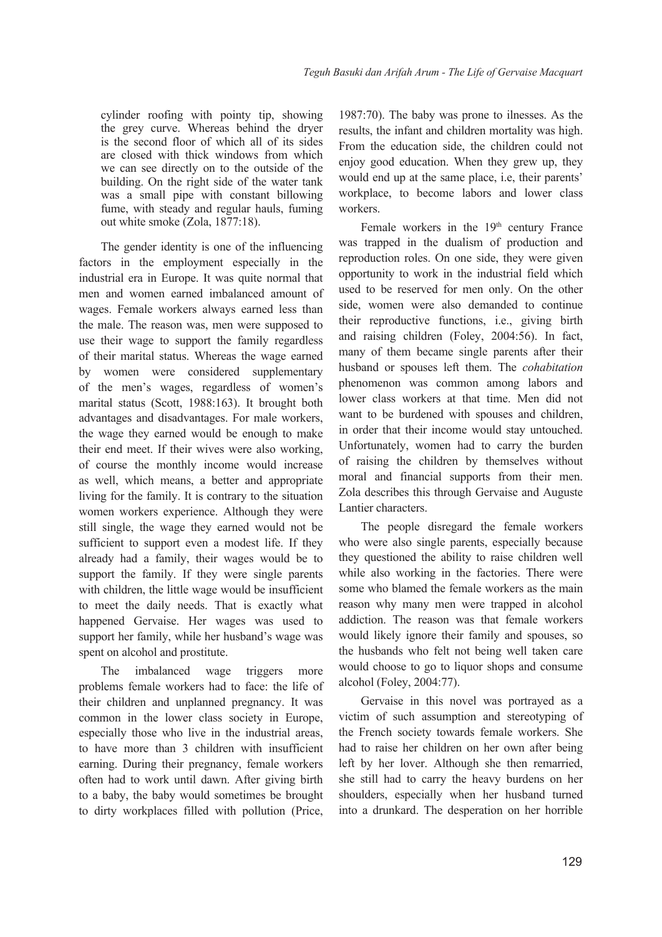cylinder roofing with pointy tip, showing the grey curve. Whereas behind the dryer is the second floor of which all of its sides are closed with thick windows from which we can see directly on to the outside of the building. On the right side of the water tank was a small pipe with constant billowing fume, with steady and regular hauls, fuming out white smoke (Zola, 1877:18).

The gender identity is one of the influencing factors in the employment especially in the industrial era in Europe. It was quite normal that men and women earned imbalanced amount of wages. Female workers always earned less than the male. The reason was, men were supposed to use their wage to support the family regardless of their marital status. Whereas the wage earned by women were considered supplementary of the men's wages, regardless of women's marital status (Scott, 1988:163). It brought both advantages and disadvantages. For male workers, the wage they earned would be enough to make their end meet. If their wives were also working, of course the monthly income would increase as well, which means, a better and appropriate living for the family. It is contrary to the situation women workers experience. Although they were still single, the wage they earned would not be sufficient to support even a modest life. If they already had a family, their wages would be to support the family. If they were single parents with children, the little wage would be insufficient to meet the daily needs. That is exactly what happened Gervaise. Her wages was used to support her family, while her husband's wage was spent on alcohol and prostitute.

The imbalanced wage triggers more problems female workers had to face: the life of their children and unplanned pregnancy. It was common in the lower class society in Europe, especially those who live in the industrial areas, to have more than 3 children with insufficient earning. During their pregnancy, female workers often had to work until dawn. After giving birth to a baby, the baby would sometimes be brought to dirty workplaces filled with pollution (Price,

1987:70). The baby was prone to ilnesses. As the results, the infant and children mortality was high. From the education side, the children could not enjoy good education. When they grew up, they would end up at the same place, i.e, their parents' workplace, to become labors and lower class workers.

Female workers in the  $19<sup>th</sup>$  century France was trapped in the dualism of production and reproduction roles. On one side, they were given opportunity to work in the industrial field which used to be reserved for men only. On the other side, women were also demanded to continue their reproductive functions, i.e., giving birth and raising children (Foley, 2004:56). In fact, many of them became single parents after their husband or spouses left them. The *cohabitation* phenomenon was common among labors and lower class workers at that time. Men did not want to be burdened with spouses and children, in order that their income would stay untouched. Unfortunately, women had to carry the burden of raising the children by themselves without moral and financial supports from their men. Zola describes this through Gervaise and Auguste Lantier characters.

The people disregard the female workers who were also single parents, especially because they questioned the ability to raise children well while also working in the factories. There were some who blamed the female workers as the main reason why many men were trapped in alcohol addiction. The reason was that female workers would likely ignore their family and spouses, so the husbands who felt not being well taken care would choose to go to liquor shops and consume alcohol (Foley, 2004:77).

Gervaise in this novel was portrayed as a victim of such assumption and stereotyping of the French society towards female workers. She had to raise her children on her own after being left by her lover. Although she then remarried, she still had to carry the heavy burdens on her shoulders, especially when her husband turned into a drunkard. The desperation on her horrible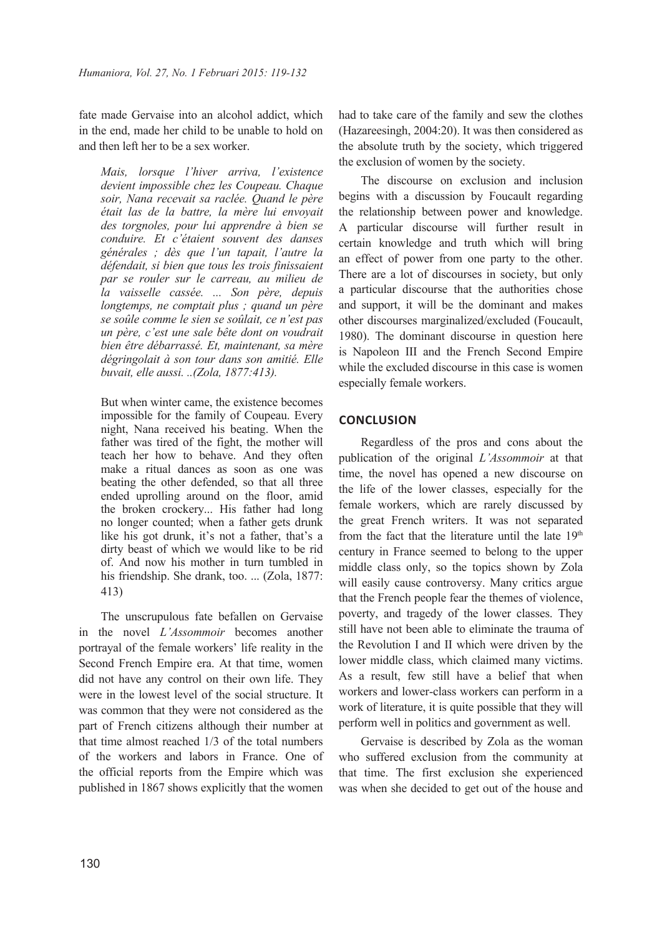fate made Gervaise into an alcohol addict, which in the end, made her child to be unable to hold on and then left her to be a sex worker.

*Mais, lorsque l'hiver arriva, l'existence devient impossible chez les Coupeau. Chaque soir, Nana recevait sa raclée. Quand le père était las de la battre, la mère lui envoyait des torgnoles, pour lui apprendre à bien se conduire. Et c'étaient souvent des danses générales ; dès que l'un tapait, l'autre la défendait, si bien que tous les trois finissaient par se rouler sur le carreau, au milieu de la vaisselle cassée. ... Son père, depuis longtemps, ne comptait plus ; quand un père se soûle comme le sien se soûlait, ce n'est pas un père, c'est une sale bête dont on voudrait bien être débarrassé. Et, maintenant, sa mère dégringolait à son tour dans son amitié. Elle buvait, elle aussi. ..(Zola, 1877:413).*

But when winter came, the existence becomes impossible for the family of Coupeau. Every night, Nana received his beating. When the father was tired of the fight, the mother will teach her how to behave. And they often make a ritual dances as soon as one was beating the other defended, so that all three ended uprolling around on the floor, amid the broken crockery... His father had long no longer counted; when a father gets drunk like his got drunk, it's not a father, that's a dirty beast of which we would like to be rid of. And now his mother in turn tumbled in his friendship. She drank, too. ... (Zola, 1877: 413)

The unscrupulous fate befallen on Gervaise in the novel *L'Assommoir* becomes another portrayal of the female workers' life reality in the Second French Empire era. At that time, women did not have any control on their own life. They were in the lowest level of the social structure. It was common that they were not considered as the part of French citizens although their number at that time almost reached 1/3 of the total numbers of the workers and labors in France. One of the official reports from the Empire which was published in 1867 shows explicitly that the women had to take care of the family and sew the clothes (Hazareesingh, 2004:20). It was then considered as the absolute truth by the society, which triggered the exclusion of women by the society.

The discourse on exclusion and inclusion begins with a discussion by Foucault regarding the relationship between power and knowledge. A particular discourse will further result in certain knowledge and truth which will bring an effect of power from one party to the other. There are a lot of discourses in society, but only a particular discourse that the authorities chose and support, it will be the dominant and makes other discourses marginalized/excluded (Foucault, 1980). The dominant discourse in question here is Napoleon III and the French Second Empire while the excluded discourse in this case is women especially female workers.

## **CONCLUSION**

Regardless of the pros and cons about the publication of the original *L'Assommoir* at that time, the novel has opened a new discourse on the life of the lower classes, especially for the female workers, which are rarely discussed by the great French writers. It was not separated from the fact that the literature until the late 19<sup>th</sup> century in France seemed to belong to the upper middle class only, so the topics shown by Zola will easily cause controversy. Many critics argue that the French people fear the themes of violence, poverty, and tragedy of the lower classes. They still have not been able to eliminate the trauma of the Revolution I and II which were driven by the lower middle class, which claimed many victims. As a result, few still have a belief that when workers and lower-class workers can perform in a work of literature, it is quite possible that they will perform well in politics and government as well.

Gervaise is described by Zola as the woman who suffered exclusion from the community at that time. The first exclusion she experienced was when she decided to get out of the house and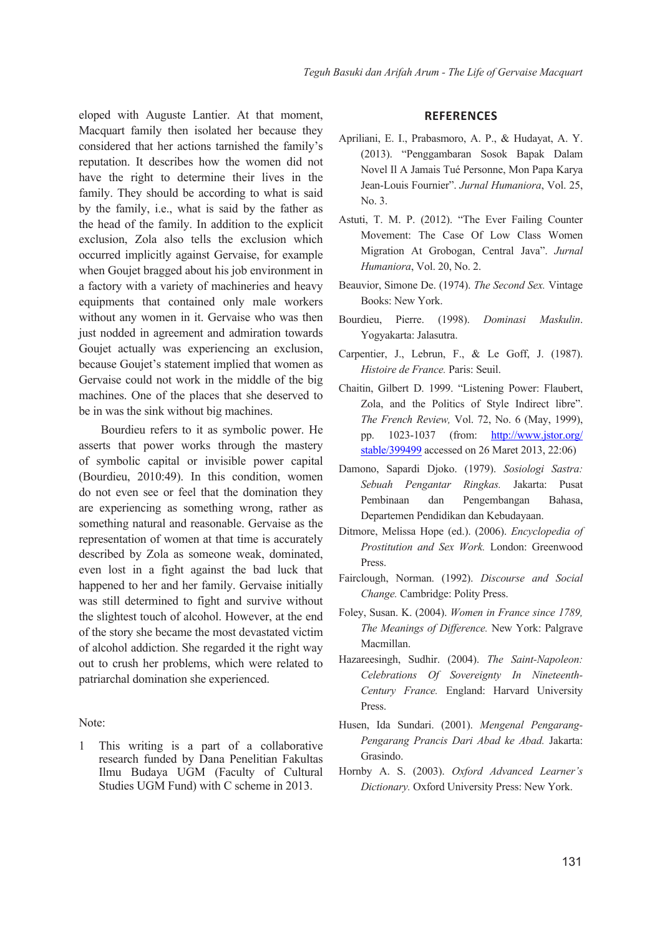eloped with Auguste Lantier. At that moment, Macquart family then isolated her because they considered that her actions tarnished the family's reputation. It describes how the women did not have the right to determine their lives in the family. They should be according to what is said by the family, i.e., what is said by the father as the head of the family. In addition to the explicit exclusion, Zola also tells the exclusion which occurred implicitly against Gervaise, for example when Goujet bragged about his job environment in a factory with a variety of machineries and heavy equipments that contained only male workers without any women in it. Gervaise who was then just nodded in agreement and admiration towards Goujet actually was experiencing an exclusion, because Goujet's statement implied that women as Gervaise could not work in the middle of the big machines. One of the places that she deserved to be in was the sink without big machines.

Bourdieu refers to it as symbolic power. He asserts that power works through the mastery of symbolic capital or invisible power capital (Bourdieu, 2010:49). In this condition, women do not even see or feel that the domination they are experiencing as something wrong, rather as something natural and reasonable. Gervaise as the representation of women at that time is accurately described by Zola as someone weak, dominated, even lost in a fight against the bad luck that happened to her and her family. Gervaise initially was still determined to fight and survive without the slightest touch of alcohol. However, at the end of the story she became the most devastated victim of alcohol addiction. She regarded it the right way out to crush her problems, which were related to patriarchal domination she experienced.

#### Note:

1 This writing is a part of a collaborative research funded by Dana Penelitian Fakultas Ilmu Budaya UGM (Faculty of Cultural Studies UGM Fund) with C scheme in 2013.

#### **REFERENCES**

- Apriliani, E. I., Prabasmoro, A. P., & Hudayat, A. Y. (2013). "Penggambaran Sosok Bapak Dalam Novel Il A Jamais Tué Personne, Mon Papa Karya Jean-Louis Fournier". *Jurnal Humaniora*, Vol. 25, No. 3.
- Astuti, T. M. P. (2012). "The Ever Failing Counter Movement: The Case Of Low Class Women Migration At Grobogan, Central Java". *Jurnal Humaniora*, Vol. 20, No. 2.
- Beauvior, Simone De. (1974). *The Second Sex.* Vintage Books: New York.
- Bourdieu, Pierre. (1998). *Dominasi Maskulin*. Yogyakarta: Jalasutra.
- Carpentier, J., Lebrun, F., & Le Goff, J. (1987). *Histoire de France.* Paris: Seuil.
- Chaitin, Gilbert D. 1999. "Listening Power: Flaubert, Zola, and the Politics of Style Indirect libre". *The French Review,* Vol. 72, No. 6 (May, 1999), pp. 1023-1037 (from: http://www.jstor.org/ stable/399499 accessed on 26 Maret 2013, 22:06)
- Damono, Sapardi Djoko. (1979). *Sosiologi Sastra: Sebuah Pengantar Ringkas.* Jakarta: Pusat Pembinaan dan Pengembangan Bahasa, Departemen Pendidikan dan Kebudayaan.
- Ditmore, Melissa Hope (ed.). (2006). *Encyclopedia of Prostitution and Sex Work.* London: Greenwood Press.
- Fairclough, Norman. (1992). *Discourse and Social Change.* Cambridge: Polity Press.
- Foley, Susan. K. (2004). *Women in France since 1789, The Meanings of Difference.* New York: Palgrave Macmillan.
- Hazareesingh, Sudhir. (2004). *The Saint-Napoleon: Celebrations Of Sovereignty In Nineteenth-Century France.* England: Harvard University Press.
- Husen, Ida Sundari. (2001). *Mengenal Pengarang-Pengarang Prancis Dari Abad ke Abad.* Jakarta: Grasindo.
- Hornby A. S. (2003). *Oxford Advanced Learner's Dictionary.* Oxford University Press: New York.